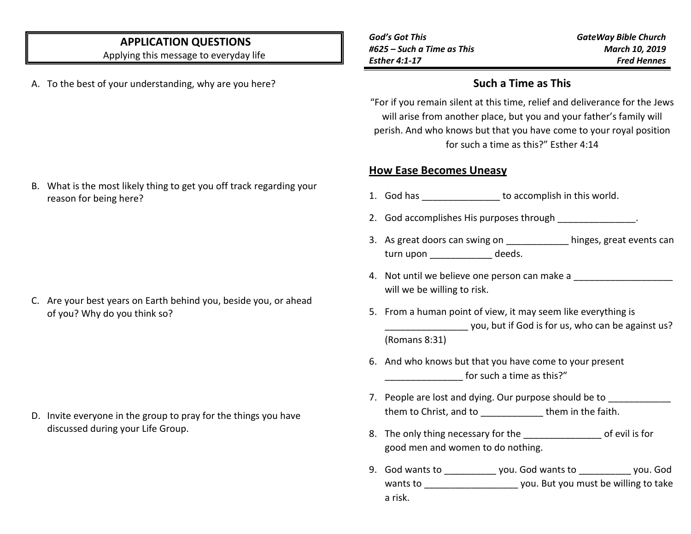# **APPLICATION QUESTIONS**

Applying this message to everyday life

A. To the best of your understanding, why are you here?

*God's Got This #625 – Such a Time as This Esther 4:1-17*

*GateWay Bible Church March 10, 2019 Fred Hennes*

### **Such a Time as This**

"For if you remain silent at this time, relief and deliverance for the Jews will arise from another place, but you and your father's family will perish. And who knows but that you have come to your royal position for such a time as this?" Esther 4:14

#### **How Ease Becomes Uneasy**

- 1. God has \_\_\_\_\_\_\_\_\_\_\_\_\_\_\_\_ to accomplish in this world.
- 2. God accomplishes His purposes through \_\_\_\_\_\_\_\_\_\_\_\_\_\_\_.
- 3. As great doors can swing on \_\_\_\_\_\_\_\_\_\_\_\_ hinges, great events can turn upon deeds.
- 4. Not until we believe one person can make a will we be willing to risk.
- 5. From a human point of view, it may seem like everything is \_\_\_\_\_\_\_\_\_\_\_\_\_\_\_\_ you, but if God is for us, who can be against us? (Romans 8:31)

- 6. And who knows but that you have come to your present for such a time as this?"
- 7. People are lost and dying. Our purpose should be to them to Christ, and to \_\_\_\_\_\_\_\_\_\_\_\_\_\_ them in the faith.
- 8. The only thing necessary for the \_\_\_\_\_\_\_\_\_\_\_\_\_\_\_ of evil is for good men and women to do nothing.
- 9. God wants to \_\_\_\_\_\_\_\_\_\_ you. God wants to \_\_\_\_\_\_\_\_\_\_ you. God wants to \_\_\_\_\_\_\_\_\_\_\_\_\_\_\_\_\_\_\_\_\_\_\_ you. But you must be willing to take a risk.

B. What is the most likely thing to get you off track regarding your reason for being here?

C. Are your best years on Earth behind you, beside you, or ahead of you? Why do you think so?

D. Invite everyone in the group to pray for the things you have discussed during your Life Group.